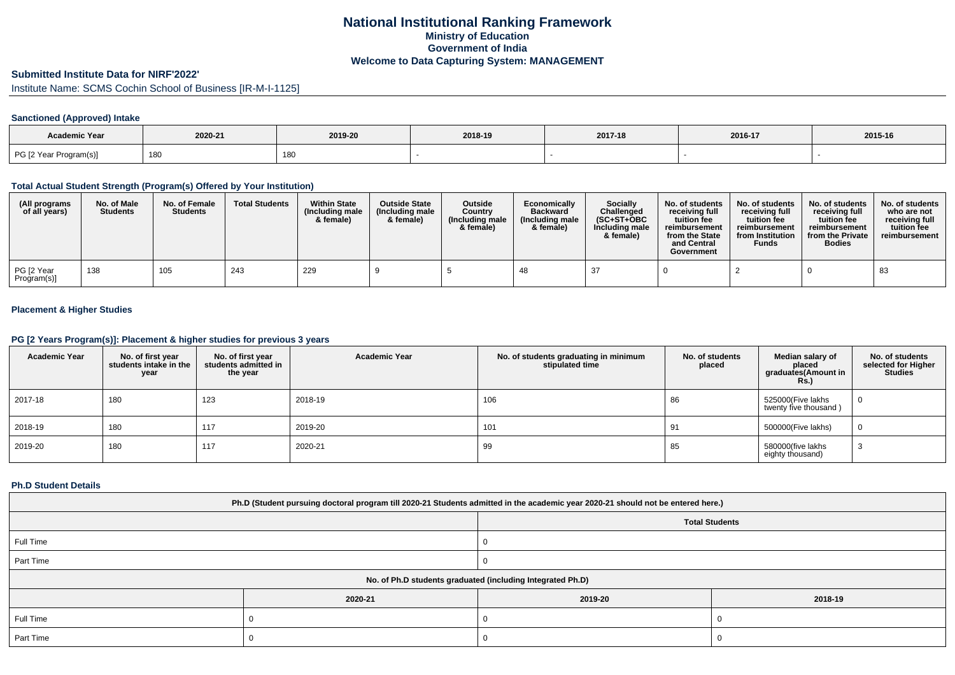## **National Institutional Ranking FrameworkMinistry of Education Government of IndiaWelcome to Data Capturing System: MANAGEMENT**

# **Submitted Institute Data for NIRF'2022'**

Institute Name: SCMS Cochin School of Business [IR-M-I-1125]

## **Sanctioned (Approved) Intake**

| <b>Academic Year</b>   |         |         |         |         |         |         |
|------------------------|---------|---------|---------|---------|---------|---------|
|                        | 2020-21 | 2019-20 | 2018-19 | 2017-18 | 2016-17 | 2015-16 |
| PG [2 Year Program(s)] | 180     | 180     |         |         |         |         |

### **Total Actual Student Strength (Program(s) Offered by Your Institution)**

| (All programs<br>of all years) | No. of Male<br><b>Students</b> | No. of Female<br><b>Students</b> | <b>Total Students</b> | <b>Within State</b><br>(Including male<br>& female) | <b>Outside State</b><br>(Including male<br>& female) | <b>Outside</b><br>Country<br>(Including male<br>& female) | Economically<br><b>Backward</b><br>(Including male<br>& female) | Socially<br>Challenged<br>$(SC+ST+OBC)$<br>Including male<br>& female) | No. of students<br>receiving full<br>tuition fee<br>reimbursement<br>from the State<br>and Central<br>Government | No. of students<br>receiving full<br>tuition fee<br>reimbursement<br>from Institution<br><b>Funds</b> | No. of students<br>receiving full<br>tuition fee<br>reimbursement<br>from the Private<br><b>Bodies</b> | No. of students<br>who are not<br>receiving full<br>tuition fee<br>reimbursement |
|--------------------------------|--------------------------------|----------------------------------|-----------------------|-----------------------------------------------------|------------------------------------------------------|-----------------------------------------------------------|-----------------------------------------------------------------|------------------------------------------------------------------------|------------------------------------------------------------------------------------------------------------------|-------------------------------------------------------------------------------------------------------|--------------------------------------------------------------------------------------------------------|----------------------------------------------------------------------------------|
| PG [2 Year<br>Program(s)]      | 138                            | 105                              | 243                   | 229                                                 |                                                      |                                                           | 48                                                              | -37                                                                    |                                                                                                                  |                                                                                                       |                                                                                                        | 83                                                                               |

### **Placement & Higher Studies**

#### **PG [2 Years Program(s)]: Placement & higher studies for previous 3 years**

| <b>Academic Year</b> | No. of first year<br>students intake in the<br>year | No. of first vear<br>students admitted in<br>the year | <b>Academic Year</b> | No. of students graduating in minimum<br>stipulated time | No. of students<br>placed | Median salary of<br>placed<br>graduates(Amount in<br>Rs.) | No. of students<br>selected for Higher<br><b>Studies</b> |
|----------------------|-----------------------------------------------------|-------------------------------------------------------|----------------------|----------------------------------------------------------|---------------------------|-----------------------------------------------------------|----------------------------------------------------------|
| 2017-18              | 180                                                 | 123                                                   | 2018-19              | 106                                                      | 86                        | 525000(Five lakhs<br>twenty five thousand)                | 0                                                        |
| 2018-19              | 180                                                 | 117                                                   | 2019-20              | 101                                                      | 91                        | 500000(Five lakhs)                                        | $\overline{0}$                                           |
| 2019-20              | 180                                                 | 117                                                   | 2020-21              | 99                                                       | 85                        | 580000(five lakhs<br>eighty thousand)                     | ۰J                                                       |

#### **Ph.D Student Details**

| Ph.D (Student pursuing doctoral program till 2020-21 Students admitted in the academic year 2020-21 should not be entered here.) |                                                            |         |         |  |  |  |  |
|----------------------------------------------------------------------------------------------------------------------------------|------------------------------------------------------------|---------|---------|--|--|--|--|
| <b>Total Students</b>                                                                                                            |                                                            |         |         |  |  |  |  |
| Full Time                                                                                                                        |                                                            |         |         |  |  |  |  |
| Part Time                                                                                                                        |                                                            |         |         |  |  |  |  |
|                                                                                                                                  | No. of Ph.D students graduated (including Integrated Ph.D) |         |         |  |  |  |  |
|                                                                                                                                  | 2020-21                                                    | 2019-20 | 2018-19 |  |  |  |  |
| Full Time                                                                                                                        |                                                            |         |         |  |  |  |  |
| Part Time                                                                                                                        |                                                            |         |         |  |  |  |  |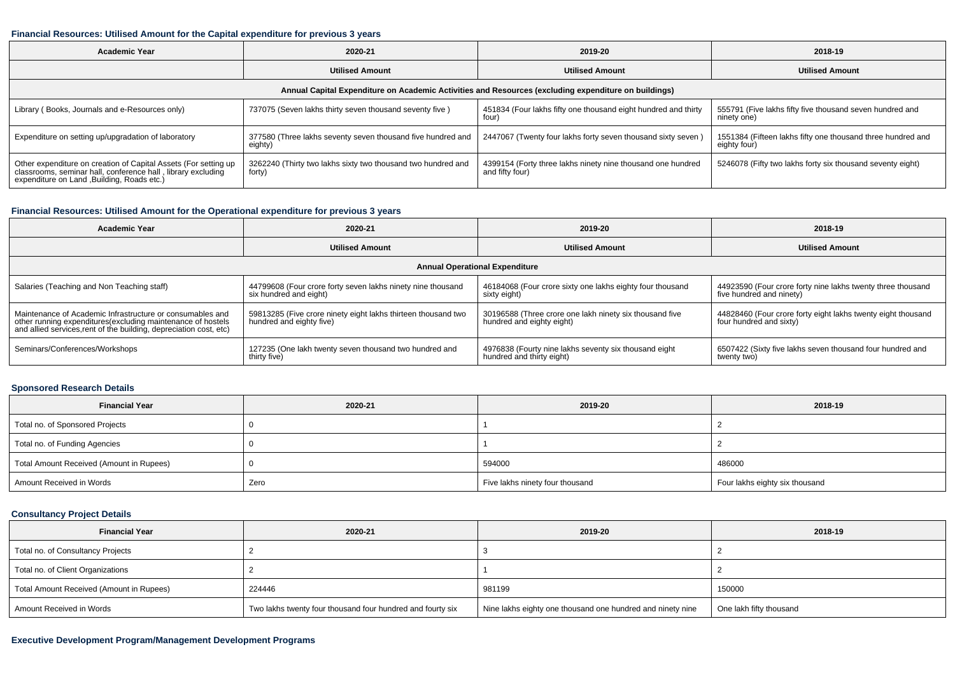#### **Financial Resources: Utilised Amount for the Capital expenditure for previous 3 years**

| Academic Year                                                                                                                                                                  | 2020-21                                                                | 2019-20                                                                        | 2018-19                                                                     |  |  |  |  |  |  |
|--------------------------------------------------------------------------------------------------------------------------------------------------------------------------------|------------------------------------------------------------------------|--------------------------------------------------------------------------------|-----------------------------------------------------------------------------|--|--|--|--|--|--|
|                                                                                                                                                                                | <b>Utilised Amount</b>                                                 | <b>Utilised Amount</b>                                                         | <b>Utilised Amount</b>                                                      |  |  |  |  |  |  |
| Annual Capital Expenditure on Academic Activities and Resources (excluding expenditure on buildings)                                                                           |                                                                        |                                                                                |                                                                             |  |  |  |  |  |  |
| Library (Books, Journals and e-Resources only)                                                                                                                                 | 737075 (Seven lakhs thirty seven thousand seventy five)                | 451834 (Four lakhs fifty one thousand eight hundred and thirty<br>four)        | 555791 (Five lakhs fifty five thousand seven hundred and<br>ninety one)     |  |  |  |  |  |  |
| Expenditure on setting up/upgradation of laboratory                                                                                                                            | 377580 (Three lakhs seventy seven thousand five hundred and<br>eighty) | 2447067 (Twenty four lakhs forty seven thousand sixty seven)                   | 1551384 (Fifteen lakhs fifty one thousand three hundred and<br>eighty four) |  |  |  |  |  |  |
| Other expenditure on creation of Capital Assets (For setting up<br>classrooms, seminar hall, conference hall, library excluding<br>expenditure on Land , Building, Roads etc.) | 3262240 (Thirty two lakhs sixty two thousand two hundred and<br>forty) | 4399154 (Forty three lakhs ninety nine thousand one hundred<br>and fifty four) | 5246078 (Fifty two lakhs forty six thousand seventy eight)                  |  |  |  |  |  |  |

### **Financial Resources: Utilised Amount for the Operational expenditure for previous 3 years**

| <b>Academic Year</b>                                                                                                              | 2020-21                                                       | 2019-20                                                   | 2018-19                                                      |  |  |  |  |  |  |
|-----------------------------------------------------------------------------------------------------------------------------------|---------------------------------------------------------------|-----------------------------------------------------------|--------------------------------------------------------------|--|--|--|--|--|--|
|                                                                                                                                   | <b>Utilised Amount</b>                                        | <b>Utilised Amount</b>                                    | <b>Utilised Amount</b>                                       |  |  |  |  |  |  |
|                                                                                                                                   | <b>Annual Operational Expenditure</b>                         |                                                           |                                                              |  |  |  |  |  |  |
| Salaries (Teaching and Non Teaching staff)                                                                                        | 44799608 (Four crore forty seven lakhs ninety nine thousand   | 46184068 (Four crore sixty one lakhs eighty four thousand | 44923590 (Four crore forty nine lakhs twenty three thousand  |  |  |  |  |  |  |
|                                                                                                                                   | six hundred and eight)                                        | sixty eight)                                              | five hundred and ninety)                                     |  |  |  |  |  |  |
| Maintenance of Academic Infrastructure or consumables and                                                                         | 59813285 (Five crore ninety eight lakhs thirteen thousand two | 30196588 (Three crore one lakh ninety six thousand five   | 44828460 (Four crore forty eight lakhs twenty eight thousand |  |  |  |  |  |  |
| other running expenditures(excluding maintenance of hostels<br>and allied services, rent of the building, depreciation cost, etc) | hundred and eighty five)                                      | hundred and eighty eight)                                 | four hundred and sixty)                                      |  |  |  |  |  |  |
| Seminars/Conferences/Workshops                                                                                                    | 127235 (One lakh twenty seven thousand two hundred and        | 4976838 (Fourty nine lakhs seventy six thousand eight     | 6507422 (Sixty five lakhs seven thousand four hundred and    |  |  |  |  |  |  |
|                                                                                                                                   | thirty five)                                                  | hundred and thirty eight)                                 | twenty two)                                                  |  |  |  |  |  |  |

### **Sponsored Research Details**

| <b>Financial Year</b>                    | 2020-21 | 2019-20                         | 2018-19                        |
|------------------------------------------|---------|---------------------------------|--------------------------------|
| Total no. of Sponsored Projects          |         |                                 |                                |
| Total no. of Funding Agencies            |         |                                 |                                |
| Total Amount Received (Amount in Rupees) |         | 594000                          | 486000                         |
| Amount Received in Words                 | Zero    | Five lakhs ninety four thousand | Four lakhs eighty six thousand |

## **Consultancy Project Details**

| <b>Financial Year</b>                    | 2020-21                                                    | 2019-20                                                    | 2018-19                 |
|------------------------------------------|------------------------------------------------------------|------------------------------------------------------------|-------------------------|
| Total no. of Consultancy Projects        |                                                            |                                                            |                         |
| Total no. of Client Organizations        |                                                            |                                                            |                         |
| Total Amount Received (Amount in Rupees) | 224446                                                     | 981199                                                     | 150000                  |
| Amount Received in Words                 | Two lakhs twenty four thousand four hundred and fourty six | Nine lakhs eighty one thousand one hundred and ninety nine | One lakh fifty thousand |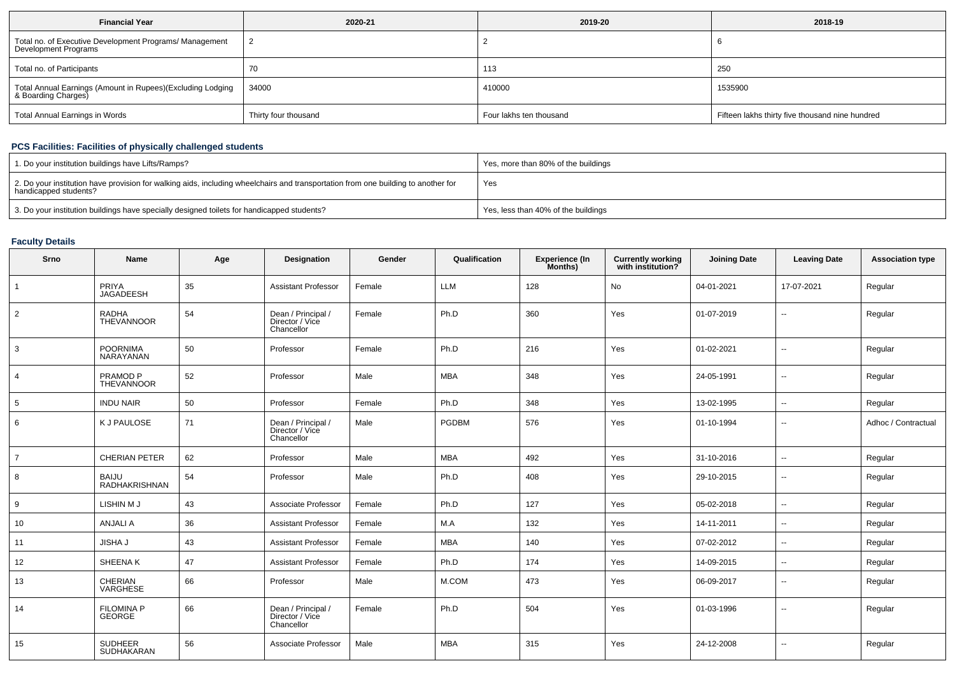| <b>Financial Year</b>                                                             | 2020-21              | 2019-20                 | 2018-19                                         |
|-----------------------------------------------------------------------------------|----------------------|-------------------------|-------------------------------------------------|
| Total no. of Executive Development Programs/ Management<br>Development Programs   |                      |                         |                                                 |
| Total no. of Participants                                                         | 70                   | 113                     | <b>250</b>                                      |
| Total Annual Earnings (Amount in Rupees)(Excluding Lodging<br>& Boarding Charges) | 34000                | 410000                  | 1535900                                         |
| Total Annual Earnings in Words                                                    | Thirty four thousand | Four lakhs ten thousand | Fifteen lakhs thirty five thousand nine hundred |

## **PCS Facilities: Facilities of physically challenged students**

| 1. Do your institution buildings have Lifts/Ramps?                                                                                                         | Yes, more than 80% of the buildings |
|------------------------------------------------------------------------------------------------------------------------------------------------------------|-------------------------------------|
| 2. Do your institution have provision for walking aids, including wheelchairs and transportation from one building to another for<br>handicapped students? | Yes                                 |
| 3. Do your institution buildings have specially designed toilets for handicapped students?                                                                 | Yes, less than 40% of the buildings |

## **Faculty Details**

| Srno           | <b>Name</b>                        | Age | Designation                                         | Gender | Qualification | <b>Experience (In</b><br>Months) | <b>Currently working</b><br>with institution? | <b>Joining Date</b> | <b>Leaving Date</b>      | <b>Association type</b> |
|----------------|------------------------------------|-----|-----------------------------------------------------|--------|---------------|----------------------------------|-----------------------------------------------|---------------------|--------------------------|-------------------------|
|                | PRIYA<br>JAGADEESH                 | 35  | <b>Assistant Professor</b>                          | Female | <b>LLM</b>    | 128                              | No                                            | 04-01-2021          | 17-07-2021               | Regular                 |
| $\overline{2}$ | <b>RADHA</b><br><b>THEVANNOOR</b>  | 54  | Dean / Principal /<br>Director / Vice<br>Chancellor | Female | Ph.D          | 360                              | Yes                                           | 01-07-2019          | $\mathbf{u}$             | Regular                 |
| 3              | <b>POORNIMA</b><br>NARAYANAN       | 50  | Professor                                           | Female | Ph.D          | 216                              | Yes                                           | 01-02-2021          | $\overline{\phantom{a}}$ | Regular                 |
| $\overline{4}$ | PRAMOD <sub>P</sub><br>THEVANNOOR  | 52  | Professor                                           | Male   | <b>MBA</b>    | 348                              | Yes                                           | 24-05-1991          | $\sim$                   | Regular                 |
| 5              | <b>INDU NAIR</b>                   | 50  | Professor                                           | Female | Ph.D          | 348                              | Yes                                           | 13-02-1995          | $\mathbf{u}$             | Regular                 |
| 6              | K J PAULOSE                        | 71  | Dean / Principal /<br>Director / Vice<br>Chancellor | Male   | <b>PGDBM</b>  | 576                              | Yes                                           | 01-10-1994          | $\sim$                   | Adhoc / Contractual     |
| $\overline{7}$ | <b>CHERIAN PETER</b>               | 62  | Professor                                           | Male   | <b>MBA</b>    | 492                              | Yes                                           | 31-10-2016          | $\overline{a}$           | Regular                 |
| 8              | <b>BAIJU</b><br>RADHAKRISHNAN      | 54  | Professor                                           | Male   | Ph.D          | 408                              | Yes                                           | 29-10-2015          | $\overline{\phantom{a}}$ | Regular                 |
| 9              | LISHIN M J                         | 43  | Associate Professor                                 | Female | Ph.D          | 127                              | Yes                                           | 05-02-2018          | $\overline{\phantom{a}}$ | Regular                 |
| 10             | <b>ANJALI A</b>                    | 36  | <b>Assistant Professor</b>                          | Female | M.A           | 132                              | Yes                                           | 14-11-2011          | $\overline{\phantom{a}}$ | Regular                 |
| 11             | <b>JISHA J</b>                     | 43  | <b>Assistant Professor</b>                          | Female | <b>MBA</b>    | 140                              | Yes                                           | 07-02-2012          | $\overline{\phantom{a}}$ | Regular                 |
| 12             | SHEENA K                           | 47  | <b>Assistant Professor</b>                          | Female | Ph.D          | 174                              | Yes                                           | 14-09-2015          | $\mathbf{u}$             | Regular                 |
| 13             | CHERIAN<br>VARGHESE                | 66  | Professor                                           | Male   | M.COM         | 473                              | Yes                                           | 06-09-2017          | $\mathbf{u}$             | Regular                 |
| 14             | <b>FILOMINA P</b><br><b>GEORGE</b> | 66  | Dean / Principal /<br>Director / Vice<br>Chancellor | Female | Ph.D          | 504                              | Yes                                           | 01-03-1996          | $\mathbf{u}$             | Regular                 |
| 15             | <b>SUDHEER</b><br>SUDHAKARAN       | 56  | Associate Professor                                 | Male   | <b>MBA</b>    | 315                              | Yes                                           | 24-12-2008          | --                       | Regular                 |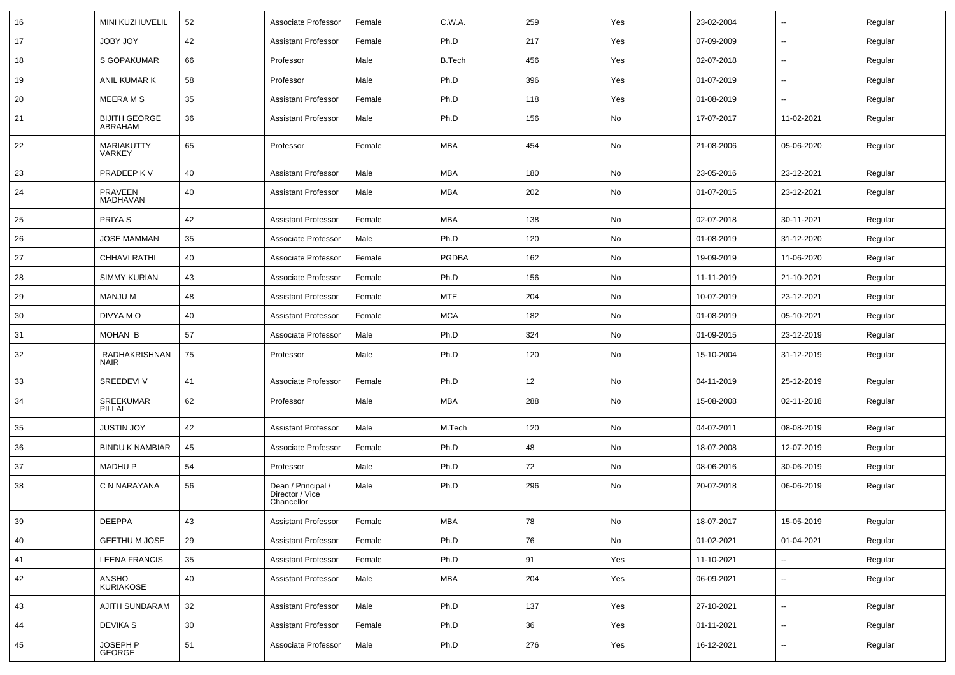| 16 | MINI KUZHUVELIL                 | 52 | Associate Professor                                 | Female | C.W.A.        | 259 | Yes           | 23-02-2004 | $\overline{\phantom{a}}$ | Regular |
|----|---------------------------------|----|-----------------------------------------------------|--------|---------------|-----|---------------|------------|--------------------------|---------|
| 17 | <b>JOBY JOY</b>                 | 42 | <b>Assistant Professor</b>                          | Female | Ph.D          | 217 | Yes           | 07-09-2009 | ⊷.                       | Regular |
| 18 | S GOPAKUMAR                     | 66 | Professor                                           | Male   | <b>B.Tech</b> | 456 | Yes           | 02-07-2018 | $\overline{a}$           | Regular |
| 19 | ANIL KUMAR K                    | 58 | Professor                                           | Male   | Ph.D          | 396 | Yes           | 01-07-2019 | --                       | Regular |
| 20 | <b>MEERAMS</b>                  | 35 | <b>Assistant Professor</b>                          | Female | Ph.D          | 118 | Yes           | 01-08-2019 |                          | Regular |
| 21 | <b>BIJITH GEORGE</b><br>ABRAHAM | 36 | <b>Assistant Professor</b>                          | Male   | Ph.D          | 156 | No            | 17-07-2017 | 11-02-2021               | Regular |
| 22 | MARIAKUTTY<br><b>VARKEY</b>     | 65 | Professor                                           | Female | MBA           | 454 | No            | 21-08-2006 | 05-06-2020               | Regular |
| 23 | PRADEEP K V                     | 40 | <b>Assistant Professor</b>                          | Male   | <b>MBA</b>    | 180 | No            | 23-05-2016 | 23-12-2021               | Regular |
| 24 | PRAVEEN<br>MADHAVAN             | 40 | <b>Assistant Professor</b>                          | Male   | MBA           | 202 | No            | 01-07-2015 | 23-12-2021               | Regular |
| 25 | PRIYA <sub>S</sub>              | 42 | <b>Assistant Professor</b>                          | Female | <b>MBA</b>    | 138 | No            | 02-07-2018 | 30-11-2021               | Regular |
| 26 | <b>JOSE MAMMAN</b>              | 35 | Associate Professor                                 | Male   | Ph.D          | 120 | No            | 01-08-2019 | 31-12-2020               | Regular |
| 27 | <b>CHHAVI RATHI</b>             | 40 | Associate Professor                                 | Female | <b>PGDBA</b>  | 162 | No            | 19-09-2019 | 11-06-2020               | Regular |
| 28 | <b>SIMMY KURIAN</b>             | 43 | Associate Professor                                 | Female | Ph.D          | 156 | No            | 11-11-2019 | 21-10-2021               | Regular |
| 29 | <b>MANJU M</b>                  | 48 | <b>Assistant Professor</b>                          | Female | <b>MTE</b>    | 204 | No            | 10-07-2019 | 23-12-2021               | Regular |
| 30 | DIVYA MO                        | 40 | <b>Assistant Professor</b>                          | Female | <b>MCA</b>    | 182 | No            | 01-08-2019 | 05-10-2021               | Regular |
| 31 | <b>MOHAN B</b>                  | 57 | Associate Professor                                 | Male   | Ph.D          | 324 | No            | 01-09-2015 | 23-12-2019               | Regular |
| 32 | RADHAKRISHNAN<br><b>NAIR</b>    | 75 | Professor                                           | Male   | Ph.D          | 120 | No            | 15-10-2004 | 31-12-2019               | Regular |
| 33 | SREEDEVI V                      | 41 | Associate Professor                                 | Female | Ph.D          | 12  | No            | 04-11-2019 | 25-12-2019               | Regular |
| 34 | SREEKUMAR<br>PILLAI             | 62 | Professor                                           | Male   | MBA           | 288 | No            | 15-08-2008 | 02-11-2018               | Regular |
| 35 | <b>JUSTIN JOY</b>               | 42 | <b>Assistant Professor</b>                          | Male   | M.Tech        | 120 | No            | 04-07-2011 | 08-08-2019               | Regular |
| 36 | <b>BINDU K NAMBIAR</b>          | 45 | Associate Professor                                 | Female | Ph.D          | 48  | No            | 18-07-2008 | 12-07-2019               | Regular |
| 37 | <b>MADHUP</b>                   | 54 | Professor                                           | Male   | Ph.D          | 72  | No            | 08-06-2016 | 30-06-2019               | Regular |
| 38 | C N NARAYANA                    | 56 | Dean / Principal /<br>Director / Vice<br>Chancellor | Male   | Ph.D          | 296 | No            | 20-07-2018 | 06-06-2019               | Regular |
| 39 | <b>DEEPPA</b>                   | 43 | Assistant Professor                                 | Female | <b>MBA</b>    | 78  | $\mathsf{No}$ | 18-07-2017 | 15-05-2019               | Regular |
| 40 | GEETHU M JOSE                   | 29 | <b>Assistant Professor</b>                          | Female | Ph.D          | 76  | No            | 01-02-2021 | 01-04-2021               | Regular |
| 41 | <b>LEENA FRANCIS</b>            | 35 | Assistant Professor                                 | Female | Ph.D          | 91  | Yes           | 11-10-2021 | Ξ.                       | Regular |
| 42 | ANSHO<br>KURIAKOSE              | 40 | <b>Assistant Professor</b>                          | Male   | <b>MBA</b>    | 204 | Yes           | 06-09-2021 | $\sim$                   | Regular |
| 43 | AJITH SUNDARAM                  | 32 | Assistant Professor                                 | Male   | Ph.D          | 137 | Yes           | 27-10-2021 | $\overline{\phantom{a}}$ | Regular |
| 44 | DEVIKA S                        | 30 | <b>Assistant Professor</b>                          | Female | Ph.D          | 36  | Yes           | 01-11-2021 | $\overline{\phantom{a}}$ | Regular |
| 45 | JOSEPH P<br>GEORGE              | 51 | Associate Professor                                 | Male   | Ph.D          | 276 | Yes           | 16-12-2021 | --                       | Regular |